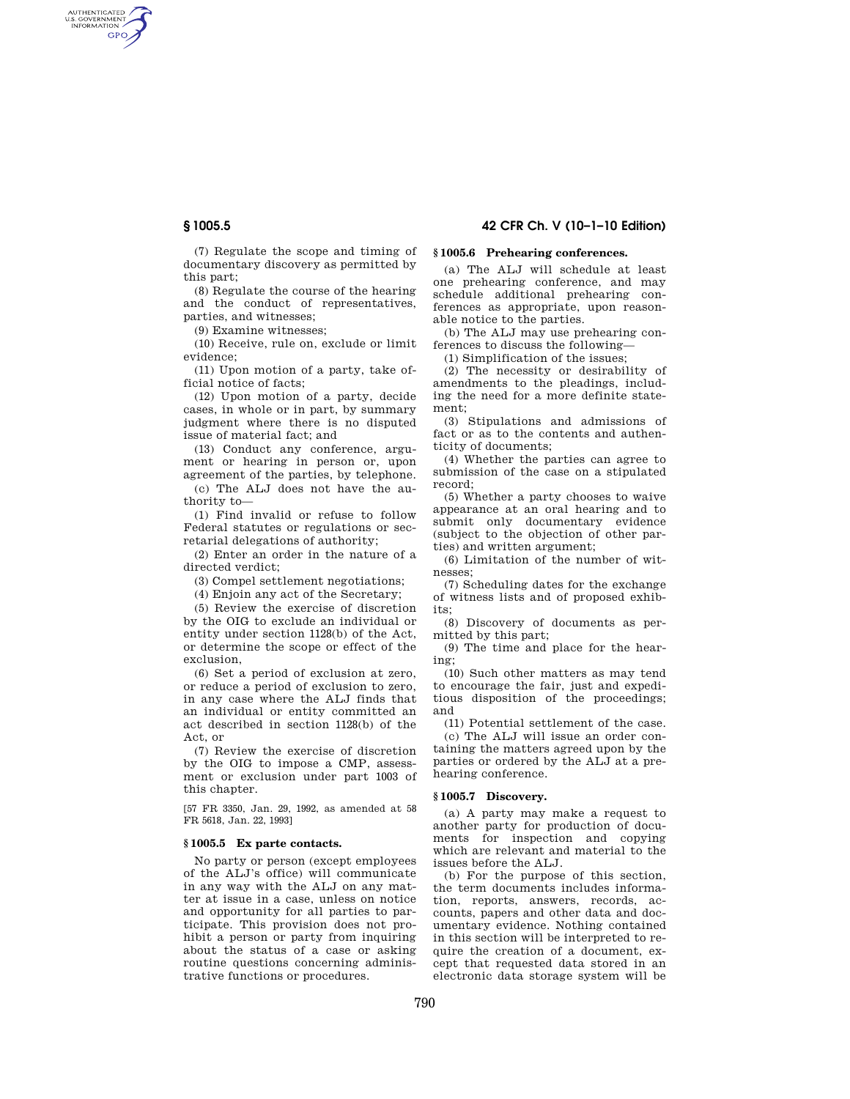AUTHENTICATED<br>U.S. GOVERNMENT<br>INFORMATION GPO

**§ 1005.5 42 CFR Ch. V (10–1–10 Edition)** 

(7) Regulate the scope and timing of documentary discovery as permitted by this part;

(8) Regulate the course of the hearing and the conduct of representatives, parties, and witnesses;

(9) Examine witnesses;

(10) Receive, rule on, exclude or limit evidence;

(11) Upon motion of a party, take official notice of facts;

(12) Upon motion of a party, decide cases, in whole or in part, by summary judgment where there is no disputed issue of material fact; and

(13) Conduct any conference, argument or hearing in person or, upon agreement of the parties, by telephone.

(c) The ALJ does not have the authority to—

(1) Find invalid or refuse to follow Federal statutes or regulations or secretarial delegations of authority;

(2) Enter an order in the nature of a directed verdict;

(3) Compel settlement negotiations;

(4) Enjoin any act of the Secretary;

(5) Review the exercise of discretion by the OIG to exclude an individual or entity under section 1128(b) of the Act, or determine the scope or effect of the exclusion,

(6) Set a period of exclusion at zero, or reduce a period of exclusion to zero, in any case where the ALJ finds that an individual or entity committed an act described in section 1128(b) of the Act, or

(7) Review the exercise of discretion by the OIG to impose a CMP, assessment or exclusion under part 1003 of this chapter.

[57 FR 3350, Jan. 29, 1992, as amended at 58 FR 5618, Jan. 22, 1993]

### **§ 1005.5 Ex parte contacts.**

No party or person (except employees of the ALJ's office) will communicate in any way with the ALJ on any matter at issue in a case, unless on notice and opportunity for all parties to participate. This provision does not prohibit a person or party from inquiring about the status of a case or asking routine questions concerning administrative functions or procedures.

# **§ 1005.6 Prehearing conferences.**

(a) The ALJ will schedule at least one prehearing conference, and may schedule additional prehearing conferences as appropriate, upon reasonable notice to the parties.

(b) The ALJ may use prehearing conferences to discuss the following—

(1) Simplification of the issues;

(2) The necessity or desirability of amendments to the pleadings, including the need for a more definite statement;

(3) Stipulations and admissions of fact or as to the contents and authenticity of documents;

(4) Whether the parties can agree to submission of the case on a stipulated record;

(5) Whether a party chooses to waive appearance at an oral hearing and to submit only documentary evidence (subject to the objection of other parties) and written argument;

(6) Limitation of the number of witnesses;

(7) Scheduling dates for the exchange of witness lists and of proposed exhibits;

(8) Discovery of documents as permitted by this part;

(9) The time and place for the hearing;

(10) Such other matters as may tend to encourage the fair, just and expeditious disposition of the proceedings; and

(11) Potential settlement of the case. (c) The ALJ will issue an order con-

taining the matters agreed upon by the parties or ordered by the ALJ at a prehearing conference.

#### **§ 1005.7 Discovery.**

(a) A party may make a request to another party for production of documents for inspection and copying which are relevant and material to the issues before the ALJ.

(b) For the purpose of this section, the term documents includes information, reports, answers, records, accounts, papers and other data and documentary evidence. Nothing contained in this section will be interpreted to require the creation of a document, except that requested data stored in an electronic data storage system will be